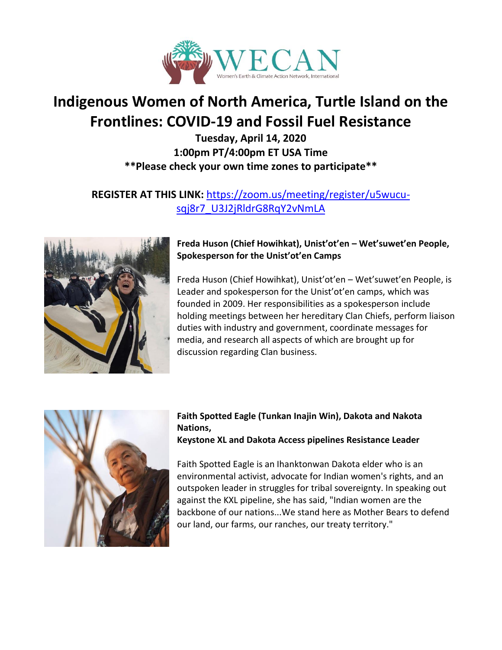

# **Indigenous Women of North America, Turtle Island on the Frontlines: COVID-19 and Fossil Fuel Resistance**

**Tuesday, April 14, 2020 1:00pm PT/4:00pm ET USA Time \*\*Please check your own time zones to participate\*\***

## **REGISTER AT THIS LINK:** [https://zoom.us/meeting/register/u5wucu](https://zoom.us/meeting/register/u5wucu-sqj8r7_U3J2jRldrG8RqY2vNmLA)[sqj8r7\\_U3J2jRldrG8RqY2vNmLA](https://zoom.us/meeting/register/u5wucu-sqj8r7_U3J2jRldrG8RqY2vNmLA)



### **Freda Huson (Chief Howihkat), Unist'ot'en – Wet'suwet'en People, Spokesperson for the Unist'ot'en Camps**

Freda Huson (Chief Howihkat), Unist'ot'en – Wet'suwet'en People, is Leader and spokesperson for the Unist'ot'en camps, which was founded in 2009. Her responsibilities as a spokesperson include holding meetings between her hereditary Clan Chiefs, perform liaison duties with industry and government, coordinate messages for media, and research all aspects of which are brought up for discussion regarding Clan business.



## **Faith Spotted Eagle (Tunkan Inajin Win), Dakota and Nakota Nations,**

#### **Keystone XL and Dakota Access pipelines Resistance Leader**

Faith Spotted Eagle is an Ihanktonwan Dakota elder who is an environmental activist, advocate for Indian women's rights, and an outspoken leader in struggles for tribal sovereignty. In speaking out against the KXL pipeline, she has said, "Indian women are the backbone of our nations...We stand here as Mother Bears to defend our land, our farms, our ranches, our treaty territory."